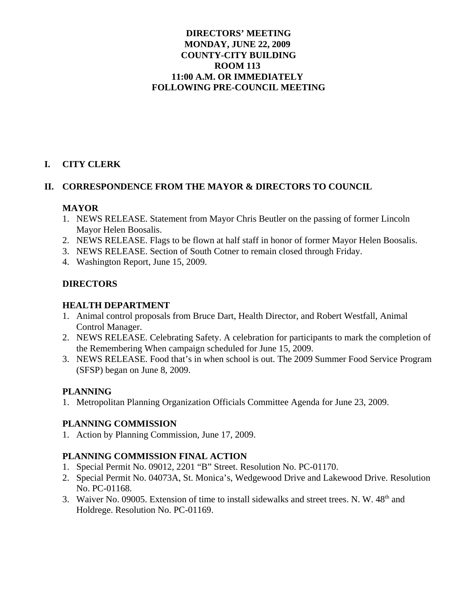## **DIRECTORS' MEETING MONDAY, JUNE 22, 2009 COUNTY-CITY BUILDING ROOM 113 11:00 A.M. OR IMMEDIATELY FOLLOWING PRE-COUNCIL MEETING**

## **I. CITY CLERK**

## **II. CORRESPONDENCE FROM THE MAYOR & DIRECTORS TO COUNCIL**

#### **MAYOR**

- 1. NEWS RELEASE. Statement from Mayor Chris Beutler on the passing of former Lincoln Mayor Helen Boosalis.
- 2. NEWS RELEASE. Flags to be flown at half staff in honor of former Mayor Helen Boosalis.
- 3. NEWS RELEASE. Section of South Cotner to remain closed through Friday.
- 4. Washington Report, June 15, 2009.

#### **DIRECTORS**

#### **HEALTH DEPARTMENT**

- 1. Animal control proposals from Bruce Dart, Health Director, and Robert Westfall, Animal Control Manager.
- 2. NEWS RELEASE. Celebrating Safety. A celebration for participants to mark the completion of the Remembering When campaign scheduled for June 15, 2009.
- 3. NEWS RELEASE. Food that's in when school is out. The 2009 Summer Food Service Program (SFSP) began on June 8, 2009.

## **PLANNING**

1. Metropolitan Planning Organization Officials Committee Agenda for June 23, 2009.

## **PLANNING COMMISSION**

1. Action by Planning Commission, June 17, 2009.

## **PLANNING COMMISSION FINAL ACTION**

- 1. Special Permit No. 09012, 2201 "B" Street. Resolution No. PC-01170.
- 2. Special Permit No. 04073A, St. Monica's, Wedgewood Drive and Lakewood Drive. Resolution No. PC-01168.
- 3. Waiver No. 09005. Extension of time to install sidewalks and street trees. N. W. 48<sup>th</sup> and Holdrege. Resolution No. PC-01169.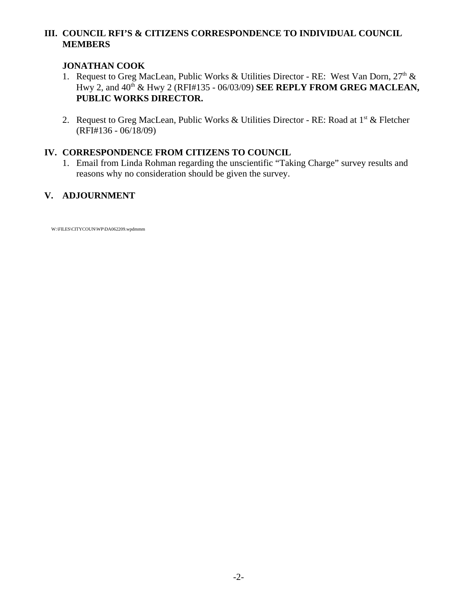## **III. COUNCIL RFI'S & CITIZENS CORRESPONDENCE TO INDIVIDUAL COUNCIL MEMBERS**

## **JONATHAN COOK**

- 1. Request to Greg MacLean, Public Works & Utilities Director RE: West Van Dorn,  $27<sup>th</sup>$  & Hwy 2, and 40th & Hwy 2 (RFI#135 - 06/03/09) **SEE REPLY FROM GREG MACLEAN, PUBLIC WORKS DIRECTOR.**
- 2. Request to Greg MacLean, Public Works & Utilities Director RE: Road at  $1<sup>st</sup>$  & Fletcher (RFI#136 - 06/18/09)

# **IV. CORRESPONDENCE FROM CITIZENS TO COUNCIL**

1. Email from Linda Rohman regarding the unscientific "Taking Charge" survey results and reasons why no consideration should be given the survey.

# **V. ADJOURNMENT**

W:\FILES\CITYCOUN\WP\DA062209.wpdmmm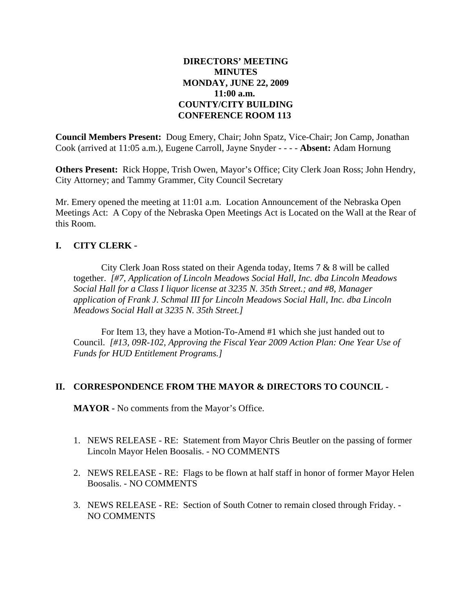## **DIRECTORS' MEETING MINUTES MONDAY, JUNE 22, 2009 11:00 a.m. COUNTY/CITY BUILDING CONFERENCE ROOM 113**

**Council Members Present:** Doug Emery, Chair; John Spatz, Vice-Chair; Jon Camp, Jonathan Cook (arrived at 11:05 a.m.), Eugene Carroll, Jayne Snyder - - - - **Absent:** Adam Hornung

**Others Present:** Rick Hoppe, Trish Owen, Mayor's Office; City Clerk Joan Ross; John Hendry, City Attorney; and Tammy Grammer, City Council Secretary

Mr. Emery opened the meeting at 11:01 a.m. Location Announcement of the Nebraska Open Meetings Act: A Copy of the Nebraska Open Meetings Act is Located on the Wall at the Rear of this Room.

## **I. CITY CLERK** -

City Clerk Joan Ross stated on their Agenda today, Items 7 & 8 will be called together. *[#7, Application of Lincoln Meadows Social Hall, Inc. dba Lincoln Meadows Social Hall for a Class I liquor license at 3235 N. 35th Street.; and #8, Manager application of Frank J. Schmal III for Lincoln Meadows Social Hall, Inc. dba Lincoln Meadows Social Hall at 3235 N. 35th Street.]*

For Item 13, they have a Motion-To-Amend #1 which she just handed out to Council. *[#13, 09R-102, Approving the Fiscal Year 2009 Action Plan: One Year Use of Funds for HUD Entitlement Programs.]*

#### **II. CORRESPONDENCE FROM THE MAYOR & DIRECTORS TO COUNCIL -**

**MAYOR -** No comments from the Mayor's Office.

- 1. NEWS RELEASE RE: Statement from Mayor Chris Beutler on the passing of former Lincoln Mayor Helen Boosalis. - NO COMMENTS
- 2. NEWS RELEASE RE: Flags to be flown at half staff in honor of former Mayor Helen Boosalis. - NO COMMENTS
- 3. NEWS RELEASE RE: Section of South Cotner to remain closed through Friday. NO COMMENTS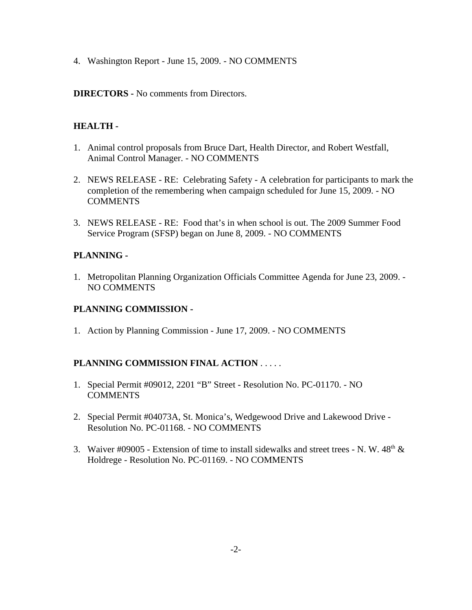4. Washington Report - June 15, 2009. - NO COMMENTS

#### **DIRECTORS -** No comments from Directors.

## **HEALTH -**

- 1. Animal control proposals from Bruce Dart, Health Director, and Robert Westfall, Animal Control Manager. - NO COMMENTS
- 2. NEWS RELEASE RE: Celebrating Safety A celebration for participants to mark the completion of the remembering when campaign scheduled for June 15, 2009. - NO **COMMENTS**
- 3. NEWS RELEASE RE: Food that's in when school is out. The 2009 Summer Food Service Program (SFSP) began on June 8, 2009. - NO COMMENTS

## **PLANNING -**

1. Metropolitan Planning Organization Officials Committee Agenda for June 23, 2009. - NO COMMENTS

## **PLANNING COMMISSION -**

1. Action by Planning Commission - June 17, 2009. - NO COMMENTS

## **PLANNING COMMISSION FINAL ACTION** . . . . .

- 1. Special Permit #09012, 2201 "B" Street Resolution No. PC-01170. NO **COMMENTS**
- 2. Special Permit #04073A, St. Monica's, Wedgewood Drive and Lakewood Drive Resolution No. PC-01168. - NO COMMENTS
- 3. Waiver #09005 Extension of time to install sidewalks and street trees N. W.  $48<sup>th</sup>$  & Holdrege - Resolution No. PC-01169. - NO COMMENTS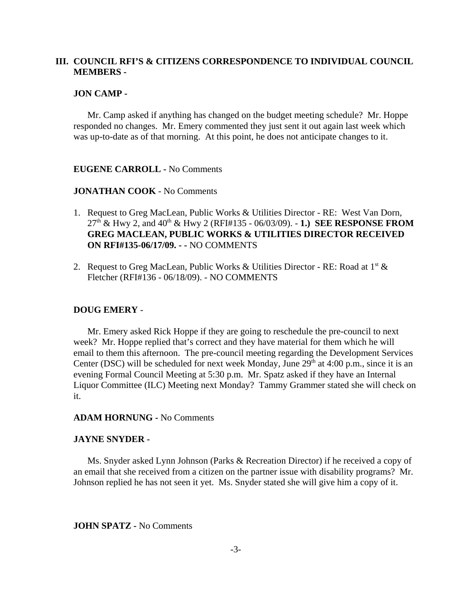#### **III. COUNCIL RFI'S & CITIZENS CORRESPONDENCE TO INDIVIDUAL COUNCIL MEMBERS -**

#### **JON CAMP -**

Mr. Camp asked if anything has changed on the budget meeting schedule? Mr. Hoppe responded no changes. Mr. Emery commented they just sent it out again last week which was up-to-date as of that morning. At this point, he does not anticipate changes to it.

#### **EUGENE CARROLL -** No Comments

#### **JONATHAN COOK** - No Comments

- 1. Request to Greg MacLean, Public Works & Utilities Director RE: West Van Dorn, 27th & Hwy 2, and 40th & Hwy 2 (RFI#135 - 06/03/09). - **1.) SEE RESPONSE FROM GREG MACLEAN, PUBLIC WORKS & UTILITIES DIRECTOR RECEIVED ON RFI#135-06/17/09. - -** NO COMMENTS
- 2. Request to Greg MacLean, Public Works & Utilities Director RE: Road at  $1<sup>st</sup>$  & Fletcher (RFI#136 - 06/18/09). - NO COMMENTS

#### **DOUG EMERY** -

Mr. Emery asked Rick Hoppe if they are going to reschedule the pre-council to next week? Mr. Hoppe replied that's correct and they have material for them which he will email to them this afternoon. The pre-council meeting regarding the Development Services Center (DSC) will be scheduled for next week Monday, June  $29<sup>th</sup>$  at 4:00 p.m., since it is an evening Formal Council Meeting at 5:30 p.m. Mr. Spatz asked if they have an Internal Liquor Committee (ILC) Meeting next Monday? Tammy Grammer stated she will check on it.

#### **ADAM HORNUNG -** No Comments

#### **JAYNE SNYDER -**

Ms. Snyder asked Lynn Johnson (Parks & Recreation Director) if he received a copy of an email that she received from a citizen on the partner issue with disability programs? Mr. Johnson replied he has not seen it yet. Ms. Snyder stated she will give him a copy of it.

#### **JOHN SPATZ -** No Comments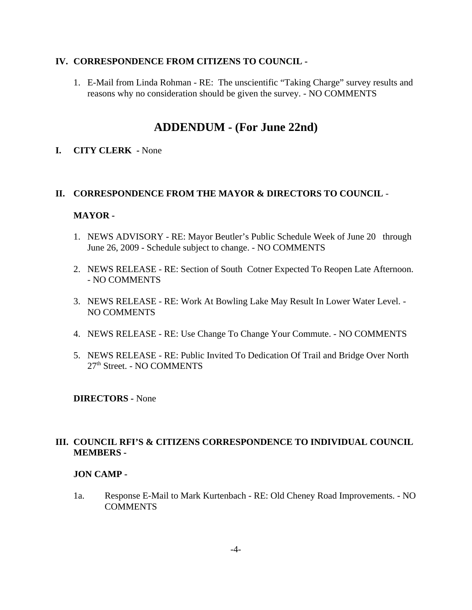#### **IV. CORRESPONDENCE FROM CITIZENS TO COUNCIL -**

1. E-Mail from Linda Rohman - RE: The unscientific "Taking Charge" survey results and reasons why no consideration should be given the survey. - NO COMMENTS

# **ADDENDUM - (For June 22nd)**

**I. CITY CLERK -** None

#### **II. CORRESPONDENCE FROM THE MAYOR & DIRECTORS TO COUNCIL** -

#### **MAYOR -**

- 1. NEWS ADVISORY RE: Mayor Beutler's Public Schedule Week of June 20 through June 26, 2009 - Schedule subject to change. - NO COMMENTS
- 2. NEWS RELEASE RE: Section of South Cotner Expected To Reopen Late Afternoon. - NO COMMENTS
- 3. NEWS RELEASE RE: Work At Bowling Lake May Result In Lower Water Level. NO COMMENTS
- 4. NEWS RELEASE RE: Use Change To Change Your Commute. NO COMMENTS
- 5. NEWS RELEASE RE: Public Invited To Dedication Of Trail and Bridge Over North 27th Street. - NO COMMENTS

**DIRECTORS -** None

## **III. COUNCIL RFI'S & CITIZENS CORRESPONDENCE TO INDIVIDUAL COUNCIL MEMBERS -**

#### **JON CAMP -**

1a. Response E-Mail to Mark Kurtenbach - RE: Old Cheney Road Improvements. - NO **COMMENTS**